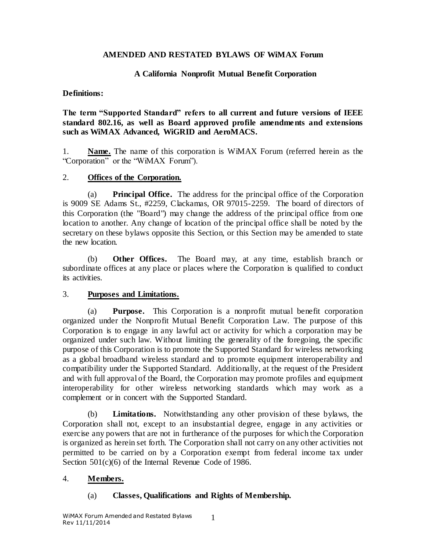### **AMENDED AND RESTATED BYLAWS OF WiMAX Forum**

### **A California Nonprofit Mutual Benefit Corporation**

#### **Definitions:**

**The term "Supported Standard" refers to all current and future versions of IEEE standard 802.16, as well as Board approved profile amendments and extensions such as WiMAX Advanced, WiGRID and AeroMACS.** 

1. **Name.** The name of this corporation is WiMAX Forum (referred herein as the "Corporation" or the "WiMAX Forum").

### 2. **Offices of the Corporation.**

(a) **Principal Office.** The address for the principal office of the Corporation is 9009 SE Adams St., #2259, Clackamas, OR 97015-2259. The board of directors of this Corporation (the "Board") may change the address of the principal office from one location to another. Any change of location of the principal office shall be noted by the secretary on these bylaws opposite this Section, or this Section may be amended to state the new location.

(b) **Other Offices.** The Board may, at any time, establish branch or subordinate offices at any place or places where the Corporation is qualified to conduct its activities.

### 3. **Purposes and Limitations.**

(a) **Purpose.** This Corporation is a nonprofit mutual benefit corporation organized under the Nonprofit Mutual Benefit Corporation Law. The purpose of this Corporation is to engage in any lawful act or activity for which a corporation may be organized under such law. Without limiting the generality of the foregoing, the specific purpose of this Corporation is to promote the Supported Standard for wireless networking as a global broadband wireless standard and to promote equipment interoperability and compatibility under the Supported Standard. Additionally, at the request of the President and with full approval of the Board, the Corporation may promote profiles and equipment interoperability for other wireless networking standards which may work as a complement or in concert with the Supported Standard.

(b) **Limitations.** Notwithstanding any other provision of these bylaws, the Corporation shall not, except to an insubstantial degree, engage in any activities or exercise any powers that are not in furtherance of the purposes for which the Corporation is organized as herein set forth. The Corporation shall not carry on any other activities not permitted to be carried on by a Corporation exempt from federal income tax under Section 501(c)(6) of the Internal Revenue Code of 1986.

### 4. **Members.**

### (a) **Classes, Qualifications and Rights of Membership.**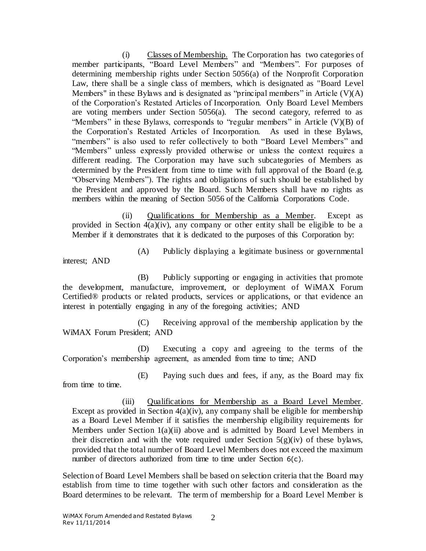(i) Classes of Membership. The Corporation has two categories of member participants, "Board Level Members" and "Members". For purposes of determining membership rights under Section 5056(a) of the Nonprofit Corporation Law, there shall be a single class of members, which is designated as "Board Level Members" in these Bylaws and is designated as "principal members" in Article  $(V)(A)$ of the Corporation's Restated Articles of Incorporation. Only Board Level Members are voting members under Section 5056(a). The second category, referred to as "Members" in these Bylaws, corresponds to "regular members" in Article  $(V)(B)$  of the Corporation's Restated Articles of Incorporation. As used in these Bylaws, "members" is also used to refer collectively to both "Board Level Members" and "Members" unless expressly provided otherwise or unless the context requires a different reading. The Corporation may have such subcategories of Members as determined by the President from time to time with full approval of the Board (e.g. "Observing Members"). The rights and obligations of such should be established by the President and approved by the Board. Such Members shall have no rights as members within the meaning of Section 5056 of the California Corporations Code.

(ii) Qualifications for Membership as a Member. Except as provided in Section [4\(a\)\(iv\),](#page-2-0) any company or other entity shall be eligible to be a Member if it demonstrates that it is dedicated to the purposes of this Corporation by:

(A) Publicly displaying a legitimate business or governmental

interest; AND

(B) Publicly supporting or engaging in activities that promote the development, manufacture, improvement, or deployment of WiMAX Forum Certified® products or related products, services or applications, or that evidence an interest in potentially engaging in any of the foregoing activities; AND

(C) Receiving approval of the membership application by the WiMAX Forum President; AND

(D) Executing a copy and agreeing to the terms of the Corporation's membership agreement, as amended from time to time; AND

(E) Paying such dues and fees, if any, as the Board may fix from time to time.

(iii) Qualifications for Membership as a Board Level Member. Except as provided in Section  $4(a)(iv)$ , any company shall be eligible for membership as a Board Level Member if it satisfies the membership eligibility requirements for Members under Section 1(a)(ii) above and is admitted by Board Level Members in their discretion and with the vote required under Section  $5(g)(iv)$  of these bylaws, provided that the total number of Board Level Members does not exceed the maximum number of directors authorized from time to time under Section [6\(c\)](#page-12-0).

Selection of Board Level Members shall be based on selection criteria that the Board may establish from time to time together with such other factors and consideration as the Board determines to be relevant. The term of membership for a Board Level Member is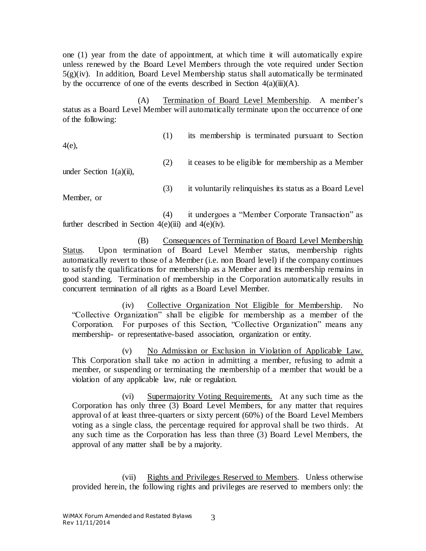one (1) year from the date of appointment, at which time it will automatically expire unless renewed by the Board Level Members through the vote required under Section  $5(g)(iv)$ . In addition, Board Level Membership status shall automatically be terminated by the occurrence of one of the events described in Section  $4(a)(iii)(A)$ .

<span id="page-2-1"></span>(A) Termination of Board Level Membership. A member's status as a Board Level Member will automatically terminate upon the occurrence of one of the following:

[4\(e\),](#page-3-0) 

(1) its membership is terminated pursuant to Section

(2) it ceases to be eligible for membership as a Member

under Section  $1(a)(ii)$ ,

(3) it voluntarily relinquishes its status as a Board Level

Member, or

(4) it undergoes a "Member Corporate Transaction" as further described in Section  $4(e)(iii)$  and  $4(e)(iv)$ .

(B) Consequences of Termination of Board Level Membership Status. Upon termination of Board Level Member status, membership rights automatically revert to those of a Member (i.e. non Board level) if the company continues to satisfy the qualifications for membership as a Member and its membership remains in good standing. Termination of membership in the Corporation automatically results in concurrent termination of all rights as a Board Level Member.

<span id="page-2-0"></span>(iv) Collective Organization Not Eligible for Membership. No "Collective Organization" shall be eligible for membership as a member of the Corporation. For purposes of this Section, "Collective Organization" means any membership- or representative-based association, organization or entity.

(v) No Admission or Exclusion in Violation of Applicable Law. This Corporation shall take no action in admitting a member, refusing to admit a member, or suspending or terminating the membership of a member that would be a violation of any applicable law, rule or regulation.

(vi) Supermajority Voting Requirements. At any such time as the Corporation has only three (3) Board Level Members, for any matter that requires approval of at least three-quarters or sixty percent (60%) of the Board Level Members voting as a single class, the percentage required for approval shall be two thirds. At any such time as the Corporation has less than three (3) Board Level Members, the approval of any matter shall be by a majority.

(vii) Rights and Privileges Reserved to Members. Unless otherwise provided herein, the following rights and privileges are reserved to members only: the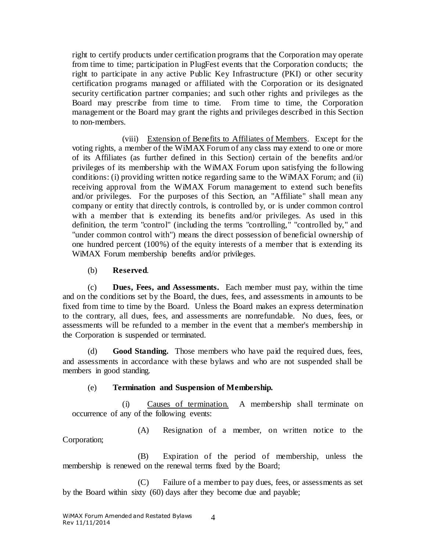right to certify products under certification programs that the Corporation may operate from time to time; participation in PlugFest events that the Corporation conducts; the right to participate in any active Public Key Infrastructure (PKI) or other security certification programs managed or affiliated with the Corporation or its designated security certification partner companies; and such other rights and privileges as the Board may prescribe from time to time. From time to time, the Corporation management or the Board may grant the rights and privileges described in this Section to non-members.

(viii) Extension of Benefits to Affiliates of Members. Except for the voting rights, a member of the WiMAX Forum of any class may extend to one or more of its Affiliates (as further defined in this Section) certain of the benefits and/or privileges of its membership with the WiMAX Forum upon satisfying the fo llowing conditions: (i) providing written notice regarding same to the WiMAX Forum; and (ii) receiving approval from the WiMAX Forum management to extend such benefits and/or privileges. For the purposes of this Section, an "Affiliate" shall mean any company or entity that directly controls, is controlled by, or is under common control with a member that is extending its benefits and/or privileges. As used in this definition, the term "control" (including the terms "controlling," "controlled by," and "under common control with") means the direct possession of beneficial ownership of one hundred percent (100%) of the equity interests of a member that is extending its WiMAX Forum membership benefits and/or privileges.

(b) **Reserved**.

(c) **Dues, Fees, and Assessments.** Each member must pay, within the time and on the conditions set by the Board, the dues, fees, and assessments in amounts to be fixed from time to time by the Board. Unless the Board makes an express determination to the contrary, all dues, fees, and assessments are nonrefundable. No dues, fees, or assessments will be refunded to a member in the event that a member's membership in the Corporation is suspended or terminated.

(d) **Good Standing.** Those members who have paid the required dues, fees, and assessments in accordance with these bylaws and who are not suspended shall be members in good standing.

# (e) **Termination and Suspension of Membership.**

<span id="page-3-1"></span><span id="page-3-0"></span>(i) Causes of termination. A membership shall terminate on occurrence of any of the following events:

(A) Resignation of a member, on written notice to the Corporation;

(B) Expiration of the period of membership, unless the membership is renewed on the renewal terms fixed by the Board;

(C) Failure of a member to pay dues, fees, or assessments as set by the Board within sixty (60) days after they become due and payable;

4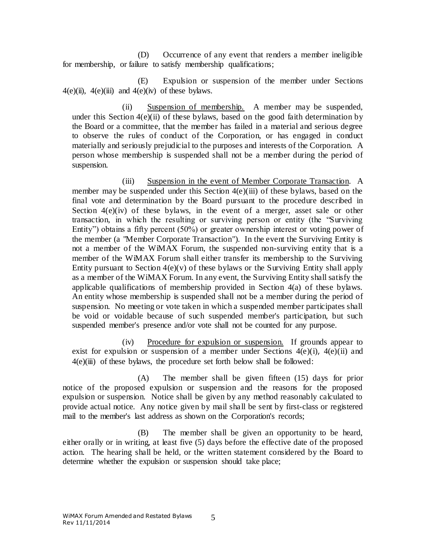(D) Occurrence of any event that renders a member ineligible for membership, or failure to satisfy membership qualifications;

(E) Expulsion or suspension of the member under Sections  $4(e)(ii)$ ,  $4(e)(iii)$  and  $4(e)(iv)$  of these bylaws.

<span id="page-4-0"></span>(ii) Suspension of membership. A member may be suspended, under this Section  $4(e)(ii)$  of these bylaws, based on the good faith determination by the Board or a committee, that the member has failed in a material and serious degree to observe the rules of conduct of the Corporation, or has engaged in conduct materially and seriously prejudicial to the purposes and interests of the Corporation. A person whose membership is suspended shall not be a member during the period of suspension.

(iii) Suspension in the event of Member Corporate Transaction. A member may be suspended under this Section 4(e)(iii) of these bylaws, based on the final vote and determination by the Board pursuant to the procedure described in Section  $4(e)(iv)$  of these bylaws, in the event of a merger, asset sale or other transaction, in which the resulting or surviving person or entity (the "Surviving Entity") obtains a fifty percent (50%) or greater ownership interest or voting power of the member (a "Member Corporate Transaction"). In the event the Surviving Entity is not a member of the WiMAX Forum, the suspended non-surviving entity that is a member of the WiMAX Forum shall either transfer its membership to the Surviving Entity pursuant to Section  $4(e)(v)$  of these bylaws or the Surviving Entity shall apply as a member of the WiMAX Forum. In any event, the Surviving Entity shall satisfy the applicable qualifications of membership provided in Section 4(a) of these bylaws. An entity whose membership is suspended shall not be a member during the period of suspension. No meeting or vote taken in which a suspended member participates shall be void or voidable because of such suspended member's participation, but such suspended member's presence and/or vote shall not be counted for any purpose.

(iv) Procedure for expulsion or suspension. If grounds appear to exist for expulsion or suspension of a member under Sections  $4(e)(i)$ ,  $4(e)(ii)$  and  $4(e)(iii)$  of these bylaws, the procedure set forth below shall be followed:

(A) The member shall be given fifteen (15) days for prior notice of the proposed expulsion or suspension and the reasons for the proposed expulsion or suspension. Notice shall be given by any method reasonably calculated to provide actual notice. Any notice given by mail shall be sent by first-class or registered mail to the member's last address as shown on the Corporation's records;

(B) The member shall be given an opportunity to be heard, either orally or in writing, at least five (5) days before the effective date of the proposed action. The hearing shall be held, or the written statement considered by the Board to determine whether the expulsion or suspension should take place;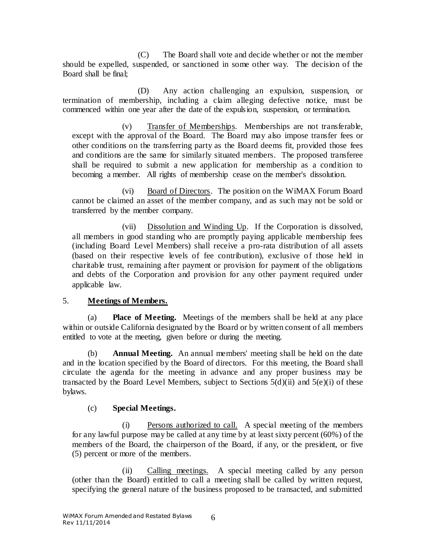(C) The Board shall vote and decide whether or not the member should be expelled, suspended, or sanctioned in some other way. The decision of the Board shall be final;

(D) Any action challenging an expulsion, suspension, or termination of membership, including a claim alleging defective notice, must be commenced within one year after the date of the expulsion, suspension, or termination.

(v) Transfer of Memberships. Memberships are not transferable, except with the approval of the Board. The Board may also impose transfer fees or other conditions on the transferring party as the Board deems fit, provided those fees and conditions are the same for similarly situated members. The proposed transferee shall be required to submit a new application for membership as a condition to becoming a member. All rights of membership cease on the member's dissolution.

(vi) Board of Directors. The position on the WiMAX Forum Board cannot be claimed an asset of the member company, and as such may not be sold or transferred by the member company.

(vii) Dissolution and Winding Up. If the Corporation is dissolved, all members in good standing who are promptly paying applicable membership fees (including Board Level Members) shall receive a pro-rata distribution of all assets (based on their respective levels of fee contribution), exclusive of those held in charitable trust, remaining after payment or provision for payment of the obligations and debts of the Corporation and provision for any other payment required under applicable law.

# 5. **Meetings of Members.**

(a) **Place of Meeting.** Meetings of the members shall be held at any place within or outside California designated by the Board or by written consent of all members entitled to vote at the meeting, given before or during the meeting.

(b) **Annual Meeting.** An annual members' meeting shall be held on the date and in the location specified by the Board of directors. For this meeting, the Board shall circulate the agenda for the meeting in advance and any proper business may be transacted by the Board Level Members, subject to Sections  $5(d)(ii)$  and  $5(e)(i)$  of these bylaws.

# (c) **Special Meetings.**

(i) Persons authorized to call. A special meeting of the members for any lawful purpose may be called at any time by at least sixty percent (60%) of the members of the Board, the chairperson of the Board, if any, or the president, or five (5) percent or more of the members.

(ii) Calling meetings. A special meeting called by any person (other than the Board) entitled to call a meeting shall be called by written request, specifying the general nature of the business proposed to be transacted, and submitted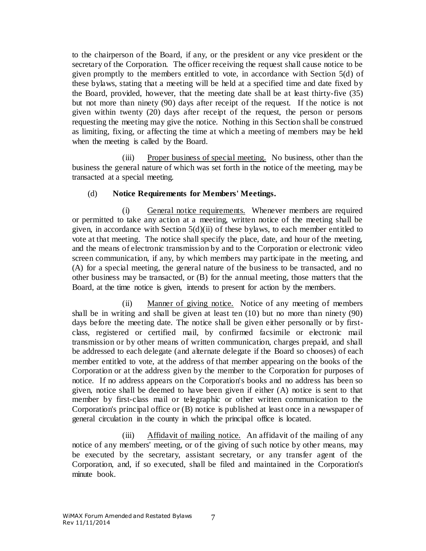to the chairperson of the Board, if any, or the president or any vice president or the secretary of the Corporation. The officer receiving the request shall cause notice to be given promptly to the members entitled to vote, in accordance with Section [5\(d\)](#page-6-1) of these bylaws, stating that a meeting will be held at a specified time and date fixed by the Board, provided, however, that the meeting date shall be at least thirty-five (35) but not more than ninety (90) days after receipt of the request. If the notice is not given within twenty (20) days after receipt of the request, the person or persons requesting the meeting may give the notice. Nothing in this Section shall be construed as limiting, fixing, or affecting the time at which a meeting of members may be held when the meeting is called by the Board.

(iii) Proper business of special meeting. No business, other than the business the general nature of which was set forth in the notice of the meeting, may be transacted at a special meeting.

### (d) **Notice Requirements for Members' Meetings.**

<span id="page-6-1"></span>(i) General notice requirements. Whenever members are required or permitted to take any action at a meeting, written notice of the meeting shall be given, in accordance with Section 5(d)(ii) of these bylaws, to each member entitled to vote at that meeting. The notice shall specify the place, date, and hour of the meeting, and the means of electronic transmission by and to the Corporation or electronic video screen communication, if any, by which members may participate in the meeting, and (A) for a special meeting, the general nature of the business to be transacted, and no other business may be transacted, or (B) for the annual meeting, those matters that the Board, at the time notice is given, intends to present for action by the members.

<span id="page-6-0"></span>(ii) Manner of giving notice. Notice of any meeting of members shall be in writing and shall be given at least ten (10) but no more than ninety (90) days before the meeting date. The notice shall be given either personally or by firstclass, registered or certified mail, by confirmed facsimile or electronic mail transmission or by other means of written communication, charges prepaid, and shall be addressed to each delegate (and alternate delegate if the Board so chooses) of each member entitled to vote, at the address of that member appearing on the books of the Corporation or at the address given by the member to the Corporation for purposes of notice. If no address appears on the Corporation's books and no address has been so given, notice shall be deemed to have been given if either (A) notice is sent to that member by first-class mail or telegraphic or other written communication to the Corporation's principal office or (B) notice is published at least once in a newspaper of general circulation in the county in which the principal office is located.

(iii) Affidavit of mailing notice. An affidavit of the mailing of any notice of any members' meeting, or of the giving of such notice by other means, may be executed by the secretary, assistant secretary, or any transfer agent of the Corporation, and, if so executed, shall be filed and maintained in the Corporation's minute book.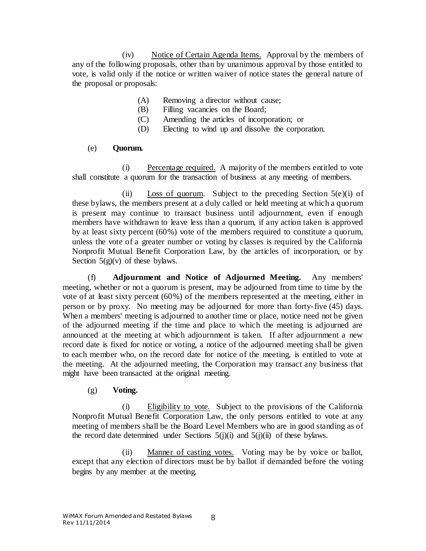(iv) Notice of Certain Agenda Items. Approval by the members of any of the following proposals, other than by unanimous approval by those entitled to vote, is valid only if the notice or written waiver of notice states the general nature of the proposal or proposals:

- (A) Removing a director without cause;
- (B) Filling vacancies on the Board;
- (C) Amending the articles of incorporation; or
- (D) Electing to wind up and dissolve the corporation.

### (e) **Quorum.**

<span id="page-7-0"></span>(i) Percentage required. A majority of the members entitled to vote shall constitute a quorum for the transaction of business at any meeting of members.

(ii) Loss of quorum. Subject to the preceding Section  $5(e)(i)$  of these bylaws, the members present at a duly called or held meeting at which a quorum is present may continue to transact business until adjournment, even if enough members have withdrawn to leave less than a quorum, if any action taken is approved by at least sixty percent (60%) vote of the members required to constitute a quorum, unless the vote of a greater number or voting by classes is required by the California Nonprofit Mutual Benefit Corporation Law, by the articles of incorporation, or by Section  $5(g)(v)$  of these bylaws.

(f) **Adjournment and Notice of Adjourned Meeting.** Any members' meeting, whether or not a quorum is present, may be adjourned from time to time by the vote of at least sixty percent (60%) of the members represented at the meeting, either in person or by proxy. No meeting may be adjourned for more than forty-five (45) days. When a members' meeting is adjourned to another time or place, notice need not be given of the adjourned meeting if the time and place to which the meeting is adjourned are announced at the meeting at which adjournment is taken. If after adjournment a new record date is fixed for notice or voting, a notice of the adjourned meeting shall be given to each member who, on the record date for notice of the meeting, is entitled to vote at the meeting. At the adjourned meeting, the Corporation may transact any business that might have been transacted at the original meeting.

(g) **Voting.**

(i) Eligibility to vote. Subject to the provisions of the California Nonprofit Mutual Benefit Corporation Law, the only persons entitled to vote at any meeting of members shall be the Board Level Members who are in good standing as of the record date determined under Sections  $5(j)(i)$  and  $5(j)(ii)$  of these bylaws.

(ii) Manner of casting votes. Voting may be by voice or ballot, except that any election of directors must be by ballot if demanded before the voting begins by any member at the meeting.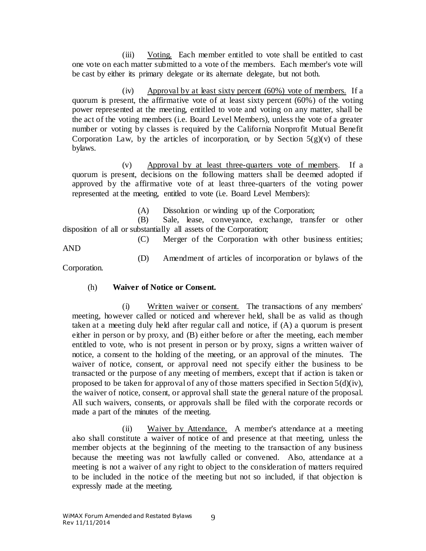(iii) Voting. Each member entitled to vote shall be entitled to cast one vote on each matter submitted to a vote of the members. Each member's vote will be cast by either its primary delegate or its alternate delegate, but not both.

(iv) Approval by at least sixty percent (60%) vote of members. If a quorum is present, the affirmative vote of at least sixty percent (60%) of the voting power represented at the meeting, entitled to vote and voting on any matter, shall be the act of the voting members (i.e. Board Level Members), unless the vote of a greater number or voting by classes is required by the California Nonprofit Mutual Benefit Corporation Law, by the articles of incorporation, or by Section  $5(g)(v)$  of these bylaws.

(v) Approval by at least three-quarters vote of members. If a quorum is present, decisions on the following matters shall be deemed adopted if approved by the affirmative vote of at least three-quarters of the voting power represented at the meeting, entitled to vote (i.e. Board Level Members):

(A) Dissolution or winding up of the Corporation;

(B) Sale, lease, conveyance, exchange, transfer or other disposition of all or substantially all assets of the Corporation;

(C) Merger of the Corporation with other business entities; AND

(D) Amendment of articles of incorporation or bylaws of the

Corporation.

# (h) **Waiver of Notice or Consent.**

(i) Written waiver or consent. The transactions of any members' meeting, however called or noticed and wherever held, shall be as valid as though taken at a meeting duly held after regular call and notice, if (A) a quorum is present either in person or by proxy, and (B) either before or after the meeting, each member entitled to vote, who is not present in person or by proxy, signs a written waiver of notice, a consent to the holding of the meeting, or an approval of the minutes. The waiver of notice, consent, or approval need not specify either the business to be transacted or the purpose of any meeting of members, except that if action is taken or proposed to be taken for approval of any of those matters specified in Section  $5(d)(iv)$ , the waiver of notice, consent, or approval shall state the general nature of the proposal. All such waivers, consents, or approvals shall be filed with the corporate records or made a part of the minutes of the meeting.

(ii) Waiver by Attendance. A member's attendance at a meeting also shall constitute a waiver of notice of and presence at that meeting, unless the member objects at the beginning of the meeting to the transaction of any business because the meeting was not lawfully called or convened. Also, attendance at a meeting is not a waiver of any right to object to the consideration of matters required to be included in the notice of the meeting but not so included, if that objection is expressly made at the meeting.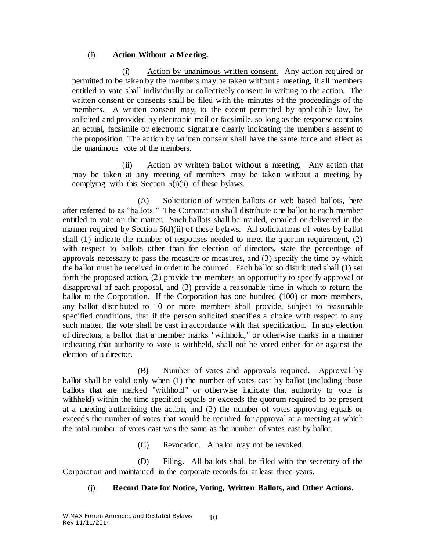### (i) **Action Without a Meeting.**

Action by unanimous written consent. Any action required or permitted to be taken by the members may be taken without a meeting, if all members entitled to vote shall individually or collectively consent in writing to the action. The written consent or consents shall be filed with the minutes of the proceedings of the members. A written consent may, to the extent permitted by applicable law, be solicited and provided by electronic mail or facsimile, so long as the response contains an actual, facsimile or electronic signature clearly indicating the member's assent to the proposition. The action by written consent shall have the same force and effect as the unanimous vote of the members.

<span id="page-9-0"></span>(ii) Action by written ballot without a meeting. Any action that may be taken at any meeting of members may be taken without a meeting by complying with this Section  $5(i)(ii)$  of these bylaws.

(A) Solicitation of written ballots or web based ballots, here after referred to as "ballots." The Corporation shall distribute one ballot to each member entitled to vote on the matter. Such ballots shall be mailed, emailed or delivered in the manner required by Section 5(d)(ii) of these bylaws. All solicitations of votes by ballot shall (1) indicate the number of responses needed to meet the quorum requirement, (2) with respect to ballots other than for election of directors, state the percentage of approvals necessary to pass the measure or measures, and (3) specify the time by which the ballot must be received in order to be counted. Each ballot so distributed shall (1) set forth the proposed action, (2) provide the members an opportunity to specify approval or disapproval of each proposal, and (3) provide a reasonable time in which to return the ballot to the Corporation. If the Corporation has one hundred (100) or more members, any ballot distributed to 10 or more members shall provide, subject to reasonable specified conditions, that if the person solicited specifies a choice with respect to any such matter, the vote shall be cast in accordance with that specification. In any election of directors, a ballot that a member marks "withhold," or otherwise marks in a manner indicating that authority to vote is withheld, shall not be voted either for or against the election of a director.

(B) Number of votes and approvals required. Approval by ballot shall be valid only when (1) the number of votes cast by ballot (including those ballots that are marked "withhold" or otherwise indicate that authority to vote is with held) within the time specified equals or exceeds the quorum required to be present at a meeting authorizing the action, and (2) the number of votes approving equals or exceeds the number of votes that would be required for approval at a meeting at which the total number of votes cast was the same as the number of votes cast by ballot.

(C) Revocation. A ballot may not be revoked.

<span id="page-9-1"></span>(D) Filing. All ballots shall be filed with the secretary of the Corporation and maintained in the corporate records for at least three years.

# (j) **Record Date for Notice, Voting, Written Ballots, and Other Actions.**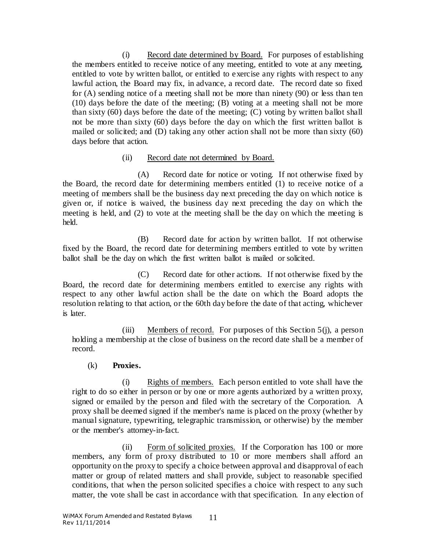<span id="page-10-0"></span>(i) Record date determined by Board. For purposes of establishing the members entitled to receive notice of any meeting, entitled to vote at any meeting, entitled to vote by written ballot, or entitled to exercise any rights with respect to any lawful action, the Board may fix, in advance, a record date. The record date so fixed for (A) sending notice of a meeting shall not be more than ninety (90) or less than ten (10) days before the date of the meeting; (B) voting at a meeting shall not be more than sixty (60) days before the date of the meeting; (C) voting by written ballot shall not be more than sixty (60) days before the day on which the first written ballot is mailed or solicited; and (D) taking any other action shall not be more than sixty (60) days before that action.

### (ii) Record date not determined by Board.

(A) Record date for notice or voting. If not otherwise fixed by the Board, the record date for determining members entitled (1) to receive notice of a meeting of members shall be the business day next preceding the day on which notice is given or, if notice is waived, the business day next preceding the day on which the meeting is held, and (2) to vote at the meeting shall be the day on which the meeting is held.

(B) Record date for action by written ballot. If not otherwise fixed by the Board, the record date for determining members entitled to vote by written ballot shall be the day on which the first written ballot is mailed or solicited.

(C) Record date for other actions. If not otherwise fixed by the Board, the record date for determining members entitled to exercise any rights with respect to any other lawful action shall be the date on which the Board adopts the resolution relating to that action, or the 60th day before the date of that acting, whichever is later.

(iii) Members of record. For purposes of this Section [5\(j\),](#page-9-1) a person holding a membership at the close of business on the record date shall be a member of record.

# (k) **Proxies.**

(i) Rights of members. Each person entitled to vote shall have the right to do so either in person or by one or more agents authorized by a written proxy, signed or emailed by the person and filed with the secretary of the Corporation. A proxy shall be deemed signed if the member's name is placed on the proxy (whether by manual signature, typewriting, telegraphic transmission, or otherwise) by the member or the member's attorney-in-fact.

(ii) Form of solicited proxies. If the Corporation has 100 or more members, any form of proxy distributed to 10 or more members shall afford an opportunity on the proxy to specify a choice between approval and disapproval of each matter or group of related matters and shall provide, subject to reasonable specified conditions, that when the person solicited specifies a choice with respect to any such matter, the vote shall be cast in accordance with that specification. In any election of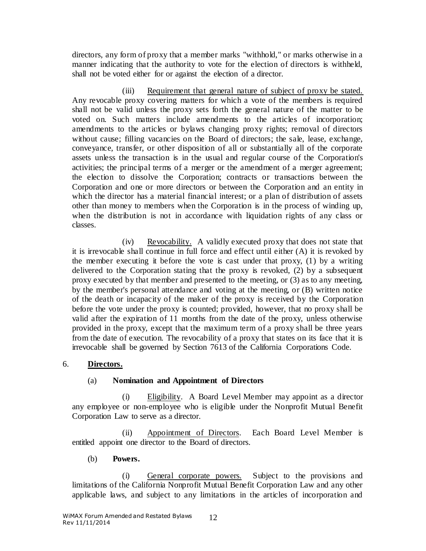directors, any form of proxy that a member marks "withhold," or marks otherwise in a manner indicating that the authority to vote for the election of directors is withheld, shall not be voted either for or against the election of a director.

(iii) Requirement that general nature of subject of proxy be stated. Any revocable proxy covering matters for which a vote of the members is required shall not be valid unless the proxy sets forth the general nature of the matter to be voted on. Such matters include amendments to the articles of incorporation; amendments to the articles or bylaws changing proxy rights; removal of directors without cause; filling vacancies on the Board of directors; the sale, lease, exchange, conveyance, transfer, or other disposition of all or substantially all of the corporate assets unless the transaction is in the usual and regular course of the Corporation's activities; the principal terms of a merger or the amendment of a merger agreement; the election to dissolve the Corporation; contracts or transactions between the Corporation and one or more directors or between the Corporation and an entity in which the director has a material financial interest; or a plan of distribution of assets other than money to members when the Corporation is in the process of winding up, when the distribution is not in accordance with liquidation rights of any class or classes.

(iv) Revocability. A validly executed proxy that does not state that it is irrevocable shall continue in full force and effect until either (A) it is revoked by the member executing it before the vote is cast under that proxy, (1) by a writing delivered to the Corporation stating that the proxy is revoked, (2) by a subsequent proxy executed by that member and presented to the meeting, or (3) as to any meeting, by the member's personal attendance and voting at the meeting, or (B) written notice of the death or incapacity of the maker of the proxy is received by the Corporation before the vote under the proxy is counted; provided, however, that no proxy shall be valid after the expiration of 11 months from the date of the proxy, unless otherwise provided in the proxy, except that the maximum term of a proxy shall be three years from the date of execution. The revocability of a proxy that states on its face that it is irrevocable shall be governed by Section 7613 of the California Corporations Code.

# 6. **Directors.**

### (a) **Nomination and Appointment of Directors**

(i) Eligibility. A Board Level Member may appoint as a director any employee or non-employee who is eligible under the Nonprofit Mutual Benefit Corporation Law to serve as a director.

(ii) Appointment of Directors. Each Board Level Member is entitled appoint one director to the Board of directors.

### (b) **Powers.**

<span id="page-11-0"></span>(i) General corporate powers. Subject to the provisions and limitations of the California Nonprofit Mutual Benefit Corporation Law and any other applicable laws, and subject to any limitations in the articles of incorporation and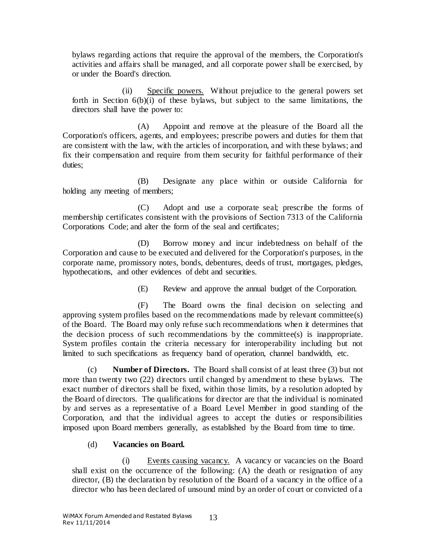bylaws regarding actions that require the approval of the members, the Corporation's activities and affairs shall be managed, and all corporate power shall be exercised, by or under the Board's direction.

(ii) Specific powers. Without prejudice to the general powers set forth in Section [6\(b\)\(i\)](#page-11-0) of these bylaws, but subject to the same limitations, the directors shall have the power to:

(A) Appoint and remove at the pleasure of the Board all the Corporation's officers, agents, and employees; prescribe powers and duties for them that are consistent with the law, with the articles of incorporation, and with these bylaws; and fix their compensation and require from them security for faithful performance of their duties;

(B) Designate any place within or outside California for holding any meeting of members;

(C) Adopt and use a corporate seal; prescribe the forms of membership certificates consistent with the provisions of Section 7313 of the California Corporations Code; and alter the form of the seal and certificates;

(D) Borrow money and incur indebtedness on behalf of the Corporation and cause to be executed and delivered for the Corporation's purposes, in the corporate name, promissory notes, bonds, debentures, deeds of trust, mortgages, pledges, hypothecations, and other evidences of debt and securities.

(E) Review and approve the annual budget of the Corporation.

(F) The Board owns the final decision on selecting and approving system profiles based on the recommendations made by relevant committee(s) of the Board. The Board may only refuse such recommendations when it determines that the decision process of such recommendations by the committee(s) is inappropriate. System profiles contain the criteria necessary for interoperability including but not limited to such specifications as frequency band of operation, channel bandwidth, etc.

<span id="page-12-0"></span>(c) **Number of Directors.** The Board shall consist of at least three (3) but not more than twenty two (22) directors until changed by amendment to these bylaws. The exact number of directors shall be fixed, within those limits, by a resolution adopted by the Board of directors. The qualifications for director are that the individual is nominated by and serves as a representative of a Board Level Member in good standing of the Corporation, and that the individual agrees to accept the duties or responsibilities imposed upon Board members generally, as established by the Board from time to time.

# (d) **Vacancies on Board.**

(i) Events causing vacancy. A vacancy or vacancies on the Board shall exist on the occurrence of the following: (A) the death or resignation of any director, (B) the declaration by resolution of the Board of a vacancy in the office of a director who has been declared of unsound mind by an order of court or convicted of a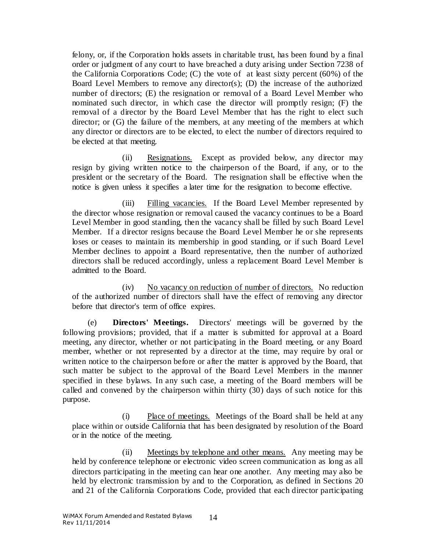felony, or, if the Corporation holds assets in charitable trust, has been found by a final order or judgment of any court to have breached a duty arising under Section 7238 of the California Corporations Code; (C) the vote of at least sixty percent (60%) of the Board Level Members to remove any director(s); (D) the increase of the authorized number of directors; (E) the resignation or removal of a Board Level Member who nominated such director, in which case the director will promptly resign; (F) the removal of a director by the Board Level Member that has the right to elect such director; or (G) the failure of the members, at any meeting of the members at which any director or directors are to be elected, to elect the number of directors required to be elected at that meeting.

(ii) Resignations. Except as provided below, any director may resign by giving written notice to the chairperson of the Board, if any, or to the president or the secretary of the Board. The resignation shall be effective when the notice is given unless it specifies a later time for the resignation to become effective.

(iii) Filling vacancies. If the Board Level Member represented by the director whose resignation or removal caused the vacancy continues to be a Board Level Member in good standing, then the vacancy shall be filled by such Board Level Member. If a director resigns because the Board Level Member he or she represents loses or ceases to maintain its membership in good standing, or if such Board Level Member declines to appoint a Board representative, then the number of authorized directors shall be reduced accordingly, unless a replacement Board Level Member is admitted to the Board.

(iv) No vacancy on reduction of number of directors. No reduction of the authorized number of directors shall have the effect of removing any director before that director's term of office expires.

(e) **Directors' Meetings.** Directors' meetings will be governed by the following provisions; provided, that if a matter is submitted for approval at a Board meeting, any director, whether or not participating in the Board meeting, or any Board member, whether or not represented by a director at the time, may require by oral or written notice to the chairperson before or after the matter is approved by the Board, that such matter be subject to the approval of the Board Level Members in the manner specified in these bylaws. In any such case, a meeting of the Board members will be called and convened by the chairperson within thirty (30) days of such notice for this purpose.

(i) Place of meetings. Meetings of the Board shall be held at any place within or outside California that has been designated by resolution of the Board or in the notice of the meeting.

(ii) Meetings by telephone and other means. Any meeting may be held by conference telephone or electronic video screen communication as long as all directors participating in the meeting can hear one another. Any meeting may also be held by electronic transmission by and to the Corporation, as defined in Sections 20 and 21 of the California Corporations Code, provided that each director participating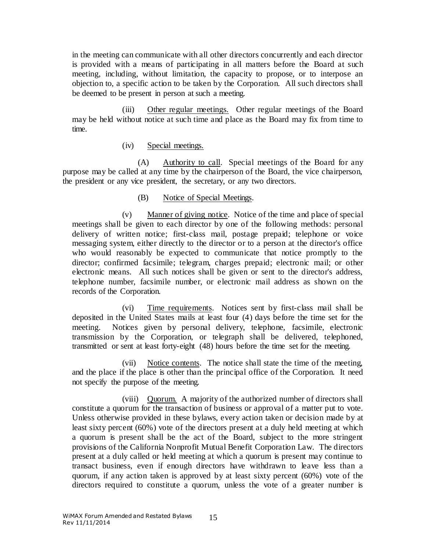in the meeting can communicate with all other directors concurrently and each director is provided with a means of participating in all matters before the Board at such meeting, including, without limitation, the capacity to propose, or to interpose an objection to, a specific action to be taken by the Corporation. All such directors shall be deemed to be present in person at such a meeting.

(iii) Other regular meetings. Other regular meetings of the Board may be held without notice at such time and place as the Board may fix from time to time.

### (iv) Special meetings.

(A) Authority to call. Special meetings of the Board for any purpose may be called at any time by the chairperson of the Board, the vice chairperson, the president or any vice president, the secretary, or any two directors.

### (B) Notice of Special Meetings.

(v) Manner of giving notice. Notice of the time and place of special meetings shall be given to each director by one of the following methods: personal delivery of written notice; first-class mail, postage prepaid; telephone or voice messaging system, either directly to the director or to a person at the director's office who would reasonably be expected to communicate that notice promptly to the director; confirmed facsimile; telegram, charges prepaid; electronic mail; or other electronic means. All such notices shall be given or sent to the director's address, telephone number, facsimile number, or electronic mail address as shown on the records of the Corporation.

(vi) Time requirements. Notices sent by first-class mail shall be deposited in the United States mails at least four (4) days before the time set for the meeting. Notices given by personal delivery, telephone, facsimile, electronic transmission by the Corporation, or telegraph shall be delivered, telephoned, transmitted or sent at least forty-eight (48) hours before the time set for the meeting.

(vii) Notice contents. The notice shall state the time of the meeting, and the place if the place is other than the principal office of the Corporation. It need not specify the purpose of the meeting.

(viii) Quorum. A majority of the authorized number of directors shall constitute a quorum for the transaction of business or approval of a matter put to vote. Unless otherwise provided in these bylaws, every action taken or decision made by at least sixty percent (60%) vote of the directors present at a duly held meeting at which a quorum is present shall be the act of the Board, subject to the more stringent provisions of the California Nonprofit Mutual Benefit Corporation Law. The directors present at a duly called or held meeting at which a quorum is present may continue to transact business, even if enough directors have withdrawn to leave less than a quorum, if any action taken is approved by at least sixty percent (60%) vote of the directors required to constitute a quorum, unless the vote of a greater number is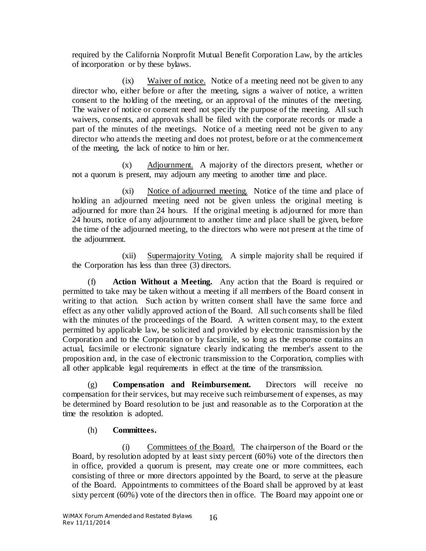required by the California Nonprofit Mutual Benefit Corporation Law, by the articles of incorporation or by these bylaws.

(ix) Waiver of notice. Notice of a meeting need not be given to any director who, either before or after the meeting, signs a waiver of notice, a written consent to the holding of the meeting, or an approval of the minutes of the meeting. The waiver of notice or consent need not specify the purpose of the meeting. All such waivers, consents, and approvals shall be filed with the corporate records or made a part of the minutes of the meetings. Notice of a meeting need not be given to any director who attends the meeting and does not protest, before or at the commencement of the meeting, the lack of notice to him or her.

(x) Adjournment. A majority of the directors present, whether or not a quorum is present, may adjourn any meeting to another time and place.

(xi) Notice of adjourned meeting. Notice of the time and place of holding an adjourned meeting need not be given unless the original meeting is adjourned for more than 24 hours. If the original meeting is adjourned for more than 24 hours, notice of any adjournment to another time and place shall be given, before the time of the adjourned meeting, to the directors who were not present at the time of the adjournment.

(xii) Supermajority Voting. A simple majority shall be required if the Corporation has less than three (3) directors.

(f) **Action Without a Meeting.** Any action that the Board is required or permitted to take may be taken without a meeting if all members of the Board consent in writing to that action. Such action by written consent shall have the same force and effect as any other validly approved action of the Board. All such consents shall be filed with the minutes of the proceedings of the Board. A written consent may, to the extent permitted by applicable law, be solicited and provided by electronic transmission by the Corporation and to the Corporation or by facsimile, so long as the response contains an actual, facsimile or electronic signature clearly indicating the member's assent to the proposition and, in the case of electronic transmission to the Corporation, complies with all other applicable legal requirements in effect at the time of the transmission.

(g) **Compensation and Reimbursement.** Directors will receive no compensation for their services, but may receive such reimbursement of expenses, as may be determined by Board resolution to be just and reasonable as to the Corporation at the time the resolution is adopted.

# (h) **Committees.**

(i) Committees of the Board. The chairperson of the Board or the Board, by resolution adopted by at least sixty percent (60%) vote of the directors then in office, provided a quorum is present, may create one or more committees, each consisting of three or more directors appointed by the Board, to serve at the pleasure of the Board. Appointments to committees of the Board shall be approved by at least sixty percent (60%) vote of the directors then in office. The Board may appoint one or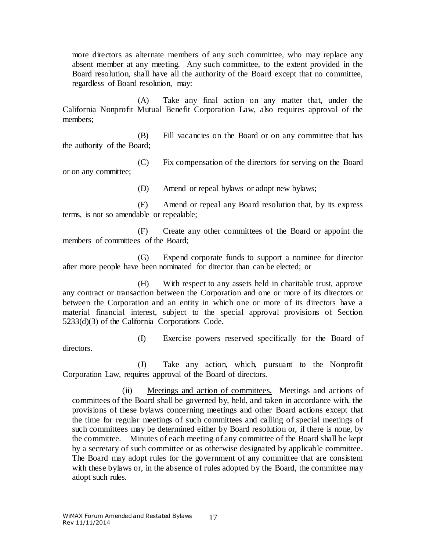more directors as alternate members of any such committee, who may replace any absent member at any meeting. Any such committee, to the extent provided in the Board resolution, shall have all the authority of the Board except that no committee, regardless of Board resolution, may:

(A) Take any final action on any matter that, under the California Nonprofit Mutual Benefit Corporation Law, also requires approval of the members;

(B) Fill vacancies on the Board or on any committee that has the authority of the Board;

(C) Fix compensation of the directors for serving on the Board or on any committee;

(D) Amend or repeal bylaws or adopt new bylaws;

(E) Amend or repeal any Board resolution that, by its express terms, is not so amendable or repealable;

(F) Create any other committees of the Board or appoint the members of committees of the Board;

(G) Expend corporate funds to support a nominee for director after more people have been nominated for director than can be elected; or

(H) With respect to any assets held in charitable trust, approve any contract or transaction between the Corporation and one or more of its directors or between the Corporation and an entity in which one or more of its directors have a material financial interest, subject to the special approval provisions of Section 5233(d)(3) of the California Corporations Code.

(I) Exercise powers reserved specifically for the Board of

(J) Take any action, which, pursuant to the Nonprofit Corporation Law, requires approval of the Board of directors.

(ii) Meetings and action of committees. Meetings and actions of committees of the Board shall be governed by, held, and taken in accordance with, the provisions of these bylaws concerning meetings and other Board actions except that the time for regular meetings of such committees and calling of special meetings of such committees may be determined either by Board resolution or, if there is none, by the committee. Minutes of each meeting of any committee of the Board shall be kept by a secretary of such committee or as otherwise designated by applicable committee. The Board may adopt rules for the government of any committee that are consistent with these bylaws or, in the absence of rules adopted by the Board, the committee may adopt such rules.

directors.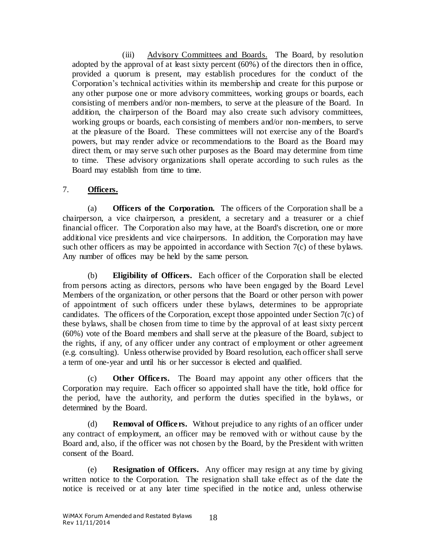(iii) Advisory Committees and Boards. The Board, by resolution adopted by the approval of at least sixty percent (60%) of the directors then in office, provided a quorum is present, may establish procedures for the conduct of the Corporation's technical activities within its membership and create for this purpose or any other purpose one or more advisory committees, working groups or boards, each consisting of members and/or non-members, to serve at the pleasure of the Board. In addition, the chairperson of the Board may also create such advisory committees, working groups or boards, each consisting of members and/or non-members, to serve at the pleasure of the Board. These committees will not exercise any of the Board's powers, but may render advice or recommendations to the Board as the Board may direct them, or may serve such other purposes as the Board may determine from time to time. These advisory organizations shall operate according to such rules as the Board may establish from time to time.

# 7. **Officers.**

(a) **Officers of the Corporation.** The officers of the Corporation shall be a chairperson, a vice chairperson, a president, a secretary and a treasurer or a chief financial officer. The Corporation also may have, at the Board's discretion, one or more additional vice presidents and vice chairpersons. In addition, the Corporation may have such other officers as may be appointed in accordance with Section [7\(c\)](#page-17-0) of these bylaws. Any number of offices may be held by the same person.

(b) **Eligibility of Officers.** Each officer of the Corporation shall be elected from persons acting as directors, persons who have been engaged by the Board Level Members of the organization, or other persons that the Board or other person with power of appointment of such officers under these bylaws, determines to be appropriate candidates. The officers of the Corporation, except those appointed under Sectio[n 7\(c\)](#page-17-0) of these bylaws, shall be chosen from time to time by the approval of at least sixty percent (60%) vote of the Board members and shall serve at the pleasure of the Board, subject to the rights, if any, of any officer under any contract of employment or other agreement (e.g. consulting). Unless otherwise provided by Board resolution, each officer shall serve a term of one-year and until his or her successor is elected and qualified.

<span id="page-17-0"></span>(c) **Other Officers.** The Board may appoint any other officers that the Corporation may require. Each officer so appointed shall have the title, hold office for the period, have the authority, and perform the duties specified in the bylaws, or determined by the Board.

(d) **Removal of Officers.** Without prejudice to any rights of an officer under any contract of employment, an officer may be removed with or without cause by the Board and, also, if the officer was not chosen by the Board, by the President with written consent of the Board.

(e) **Resignation of Officers.** Any officer may resign at any time by giving written notice to the Corporation. The resignation shall take effect as of the date the notice is received or at any later time specified in the notice and, unless otherwise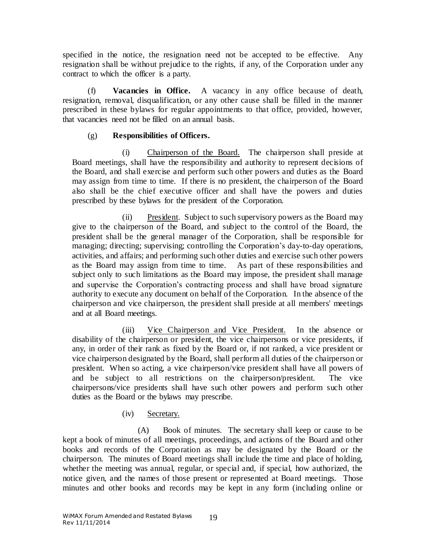specified in the notice, the resignation need not be accepted to be effective. Any resignation shall be without prejudice to the rights, if any, of the Corporation under any contract to which the officer is a party.

(f) **Vacancies in Office.** A vacancy in any office because of death, resignation, removal, disqualification, or any other cause shall be filled in the manner prescribed in these bylaws for regular appointments to that office, provided, however, that vacancies need not be filled on an annual basis.

# (g) **Responsibilities of Officers.**

(i) Chairperson of the Board. The chairperson shall preside at Board meetings, shall have the responsibility and authority to represent decisions of the Board, and shall exercise and perform such other powers and duties as the Board may assign from time to time. If there is no president, the chairperson of the Board also shall be the chief executive officer and shall have the powers and duties prescribed by these bylaws for the president of the Corporation.

(ii) President. Subject to such supervisory powers as the Board may give to the chairperson of the Board, and subject to the control of the Board, the president shall be the general manager of the Corporation, shall be responsible for managing; directing; supervising; controlling the Corporation's day-to-day operations, activities, and affairs; and performing such other duties and exercise such other powers as the Board may assign from time to time. As part of these responsibilities and subject only to such limitations as the Board may impose, the president shall manage and supervise the Corporation's contracting process and shall have broad signature authority to execute any document on behalf of the Corporation. In the absence of the chairperson and vice chairperson, the president shall preside at all members' meetings and at all Board meetings.

(iii) Vice Chairperson and Vice President. In the absence or disability of the chairperson or president, the vice chairpersons or vice presidents, if any, in order of their rank as fixed by the Board or, if not ranked, a vice president or vice chairperson designated by the Board, shall perform all duties of the chairperson or president. When so acting, a vice chairperson/vice president shall have all powers of and be subject to all restrictions on the chairperson/president. The vice chairpersons/vice presidents shall have such other powers and perform such other duties as the Board or the bylaws may prescribe.

# (iv) Secretary.

(A) Book of minutes. The secretary shall keep or cause to be kept a book of minutes of all meetings, proceedings, and actions of the Board and other books and records of the Corporation as may be designated by the Board or the chairperson. The minutes of Board meetings shall include the time and place of holding, whether the meeting was annual, regular, or special and, if special, how authorized, the notice given, and the names of those present or represented at Board meetings. Those minutes and other books and records may be kept in any form (including online or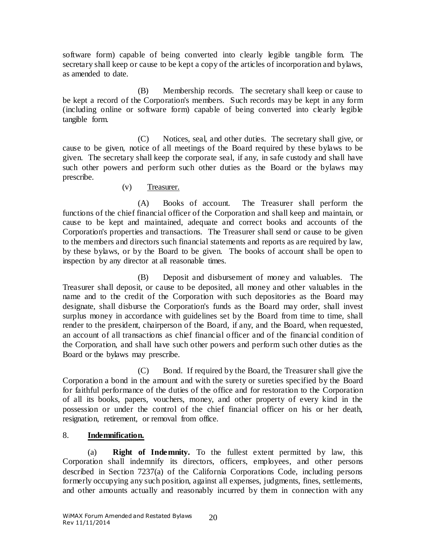software form) capable of being converted into clearly legible tangible form. The secretary shall keep or cause to be kept a copy of the articles of incorporation and bylaws, as amended to date.

(B) Membership records. The secretary shall keep or cause to be kept a record of the Corporation's members. Such records may be kept in any form (including online or software form) capable of being converted into clearly legible tangible form.

(C) Notices, seal, and other duties. The secretary shall give, or cause to be given, notice of all meetings of the Board required by these bylaws to be given. The secretary shall keep the corporate seal, if any, in safe custody and shall have such other powers and perform such other duties as the Board or the bylaws may prescribe.

(v) Treasurer.

(A) Books of account. The Treasurer shall perform the functions of the chief financial officer of the Corporation and shall keep and maintain, or cause to be kept and maintained, adequate and correct books and accounts of the Corporation's properties and transactions. The Treasurer shall send or cause to be given to the members and directors such financial statements and reports as are required by law, by these bylaws, or by the Board to be given. The books of account shall be open to inspection by any director at all reasonable times.

(B) Deposit and disbursement of money and valuables. The Treasurer shall deposit, or cause to be deposited, all money and other valuables in the name and to the credit of the Corporation with such depositories as the Board may designate, shall disburse the Corporation's funds as the Board may order, shall invest surplus money in accordance with guidelines set by the Board from time to time, shall render to the president, chairperson of the Board, if any, and the Board, when requested, an account of all transactions as chief financial officer and of the financial condition of the Corporation, and shall have such other powers and perform such other duties as the Board or the bylaws may prescribe.

(C) Bond. If required by the Board, the Treasurer shall give the Corporation a bond in the amount and with the surety or sureties specified by the Board for faithful performance of the duties of the office and for restoration to the Corporation of all its books, papers, vouchers, money, and other property of every kind in the possession or under the control of the chief financial officer on his or her death, resignation, retirement, or removal from office.

# <span id="page-19-1"></span>8. **Indemnification.**

<span id="page-19-0"></span>(a) **Right of Indemnity.** To the fullest extent permitted by law, this Corporation shall indemnify its directors, officers, employees, and other persons described in Section 7237(a) of the California Corporations Code, including persons formerly occupying any such position, against all expenses, judgments, fines, settlements, and other amounts actually and reasonably incurred by them in connection with any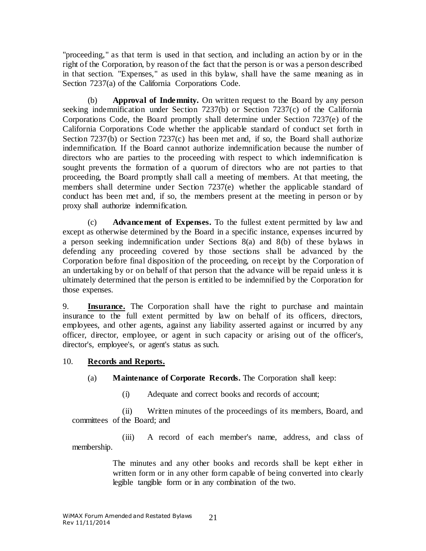"proceeding," as that term is used in that section, and including an action by or in the right of the Corporation, by reason of the fact that the person is or was a person described in that section. "Expenses," as used in this bylaw, shall have the same meaning as in Section 7237(a) of the California Corporations Code.

<span id="page-20-0"></span>Approval of Indemnity. On written request to the Board by any person seeking indemnification under Section 7237(b) or Section 7237(c) of the California Corporations Code, the Board promptly shall determine under Section 7237(e) of the California Corporations Code whether the applicable standard of conduct set forth in Section 7237(b) or Section 7237(c) has been met and, if so, the Board shall authorize indemnification. If the Board cannot authorize indemnification because the number of directors who are parties to the proceeding with respect to which indemnification is sought prevents the formation of a quorum of directors who are not parties to that proceeding, the Board promptly shall call a meeting of members. At that meeting, the members shall determine under Section 7237(e) whether the applicable standard of conduct has been met and, if so, the members present at the meeting in person or by proxy shall authorize indemnification.

(c) **Advancement of Expenses.** To the fullest extent permitted by law and except as otherwise determined by the Board in a specific instance, expenses incurred by a person seeking indemnification under Sections [8\(a\)](#page-19-0) and [8\(b\)](#page-20-0) of these bylaws in defending any proceeding covered by those sections shall be advanced by the Corporation before final disposition of the proceeding, on receipt by the Corporation of an undertaking by or on behalf of that person that the advance will be repaid unless it is ultimately determined that the person is entitled to be indemnified by the Corporation for those expenses.

9. **Insurance.** The Corporation shall have the right to purchase and maintain insurance to the full extent permitted by law on behalf of its officers, directors, employees, and other agents, against any liability asserted against or incurred by any officer, director, employee, or agent in such capacity or arising out of the officer's, director's, employee's, or agent's status as such.

# 10. **Records and Reports.**

- (a) **Maintenance of Corporate Records.** The Corporation shall keep:
	- (i) Adequate and correct books and records of account;

(ii) Written minutes of the proceedings of its members, Board, and committees of the Board; and

(iii) A record of each member's name, address, and class of membership.

> The minutes and any other books and records shall be kept either in written form or in any other form capable of being converted into clearly legible tangible form or in any combination of the two.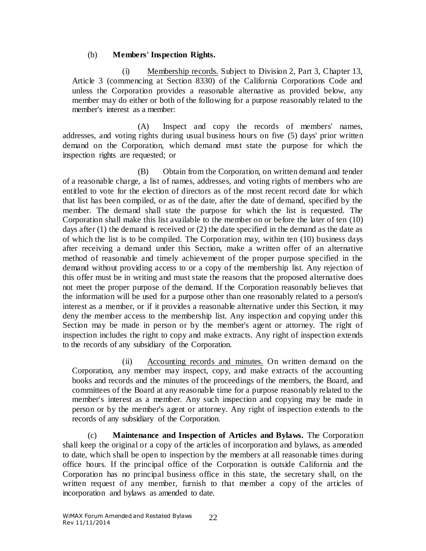### (b) **Members' Inspection Rights.**

(i) Membership records. Subject to Division 2, Part 3, Chapter 13, Article 3 (commencing at Section 8330) of the California Corporations Code and unless the Corporation provides a reasonable alternative as provided below, any member may do either or both of the following for a purpose reasonably related to the member's interest as a member:

(A) Inspect and copy the records of members' names, addresses, and voting rights during usual business hours on five (5) days' prior written demand on the Corporation, which demand must state the purpose for which the inspection rights are requested; or

(B) Obtain from the Corporation, on written demand and tender of a reasonable charge, a list of names, addresses, and voting rights of members who are entitled to vote for the election of directors as of the most recent record date for which that list has been compiled, or as of the date, after the date of demand, specified by the member. The demand shall state the purpose for which the list is requested. The Corporation shall make this list available to the member on or before the later of ten (10) days after (1) the demand is received or (2) the date specified in the demand as the date as of which the list is to be compiled. The Corporation may, within ten (10) business days after receiving a demand under this Section, make a written offer of an alternative method of reasonable and timely achievement of the proper purpose specified in the demand without providing access to or a copy of the membership list. Any rejection of this offer must be in writing and must state the reasons that the proposed alternative does not meet the proper purpose of the demand. If the Corporation reasonably believes that the information will be used for a purpose other than one reasonably related to a person's interest as a member, or if it provides a reasonable alternative under this Section, it may deny the member access to the membership list. Any inspection and copying under this Section may be made in person or by the member's agent or attorney. The right of inspection includes the right to copy and make extracts. Any right of inspection extends to the records of any subsidiary of the Corporation.

(ii) Accounting records and minutes. On written demand on the Corporation, any member may inspect, copy, and make extracts of the accounting books and records and the minutes of the proceedings of the members, the Board, and committees of the Board at any reasonable time for a purpose reasonably related to the member's interest as a member. Any such inspection and copying may be made in person or by the member's agent or attorney. Any right of inspection extends to the records of any subsidiary of the Corporation.

(c) **Maintenance and Inspection of Articles and Bylaws.** The Corporation shall keep the original or a copy of the articles of incorporation and bylaws, as amended to date, which shall be open to inspection by the members at all reasonable times during office hours. If the principal office of the Corporation is outside California and the Corporation has no principal business office in this state, the secretary shall, on the written request of any member, furnish to that member a copy of the articles of incorporation and bylaws as amended to date.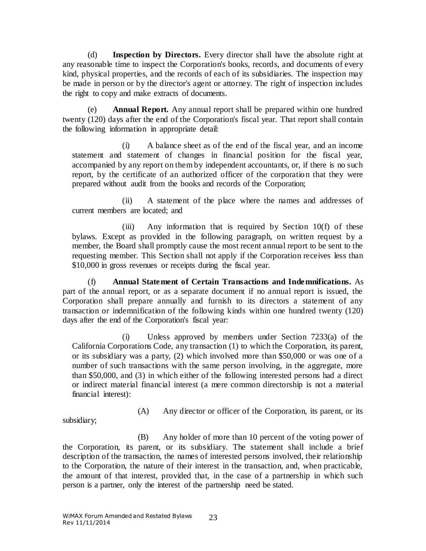(d) **Inspection by Directors.** Every director shall have the absolute right at any reasonable time to inspect the Corporation's books, records, and documents of every kind, physical properties, and the records of each of its subsidiaries. The inspection may be made in person or by the director's agent or attorney. The right of inspection includes the right to copy and make extracts of documents.

(e) **Annual Report.** Any annual report shall be prepared within one hundred twenty (120) days after the end of the Corporation's fiscal year. That report shall contain the following information in appropriate detail:

(i) A balance sheet as of the end of the fiscal year, and an income statement and statement of changes in financial position for the fiscal year, accompanied by any report on them by independent accountants, or, if there is no such report, by the certificate of an authorized officer of the corporation that they were prepared without audit from the books and records of the Corporation;

(ii) A statement of the place where the names and addresses of current members are located; and

(iii) Any information that is required by Section  $10(f)$  of these bylaws. Except as provided in the following paragraph, on written request by a member, the Board shall promptly cause the most recent annual report to be sent to the requesting member. This Section shall not apply if the Corporation receives less than \$10,000 in gross revenues or receipts during the fiscal year.

<span id="page-22-0"></span>(f) **Annual Statement of Certain Transactions and Indemnifications.** As part of the annual report, or as a separate document if no annual report is issued, the Corporation shall prepare annually and furnish to its directors a statement of any transaction or indemnification of the following kinds within one hundred twenty (120) days after the end of the Corporation's fiscal year:

(i) Unless approved by members under Section 7233(a) of the California Corporations Code, any transaction (1) to which the Corporation, its parent, or its subsidiary was a party, (2) which involved more than \$50,000 or was one of a number of such transactions with the same person involving, in the aggregate, more than \$50,000, and (3) in which either of the following interested persons had a direct or indirect material financial interest (a mere common directorship is not a material financial interest):

subsidiary;

(A) Any director or officer of the Corporation, its parent, or its

(B) Any holder of more than 10 percent of the voting power of the Corporation, its parent, or its subsidiary. The statement shall include a brief description of the transaction, the names of interested persons involved, their relationship to the Corporation, the nature of their interest in the transaction, and, when practicable, the amount of that interest, provided that, in the case of a partnership in which such person is a partner, only the interest of the partnership need be stated.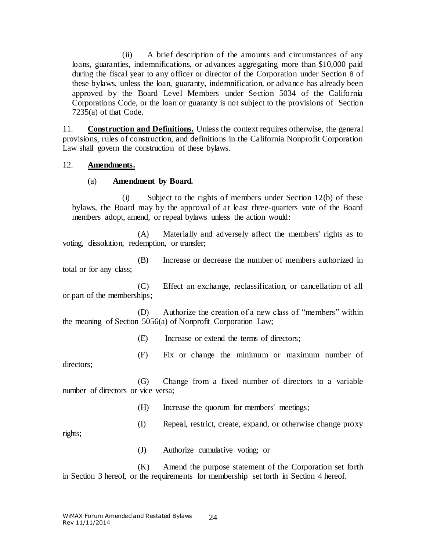(ii) A brief description of the amounts and circumstances of any loans, guaranties, indemnifications, or advances aggregating more than \$10,000 paid during the fiscal year to any officer or director of the Corporation under Section [8](#page-19-1) of these bylaws, unless the loan, guaranty, indemnification, or advance has already been approved by the Board Level Members under Section 5034 of the California Corporations Code, or the loan or guaranty is not subject to the provisions of Section 7235(a) of that Code.

11. **Construction and Definitions.** Unless the context requires otherwise, the general provisions, rules of construction, and definitions in the California Nonprofit Corporation Law shall govern the construction of these bylaws.

#### 12. **Amendments.**

#### (a) **Amendment by Board.**

(i) Subject to the rights of members under Section [12\(b\)](#page-24-0) of these bylaws, the Board may by the approval of at least three-quarters vote of the Board members adopt, amend, or repeal bylaws unless the action would:

(A) Materially and adversely affect the members' rights as to voting, dissolution, redemption, or transfer;

(B) Increase or decrease the number of members authorized in total or for any class;

(C) Effect an exchange, reclassification, or cancellation of all or part of the memberships;

(D) Authorize the creation of a new class of "members" within the meaning of Section 5056(a) of Nonprofit Corporation Law;

(E) Increase or extend the terms of directors;

(F) Fix or change the minimum or maximum number of directors;

(G) Change from a fixed number of directors to a variable number of directors or vice versa;

(H) Increase the quorum for members' meetings;

(I) Repeal, restrict, create, expand, or otherwise change proxy

rights;

(J) Authorize cumulative voting; or

(K) Amend the purpose statement of the Corporation set forth in Section 3 hereof, or the requirements for membership set forth in Section 4 hereof.